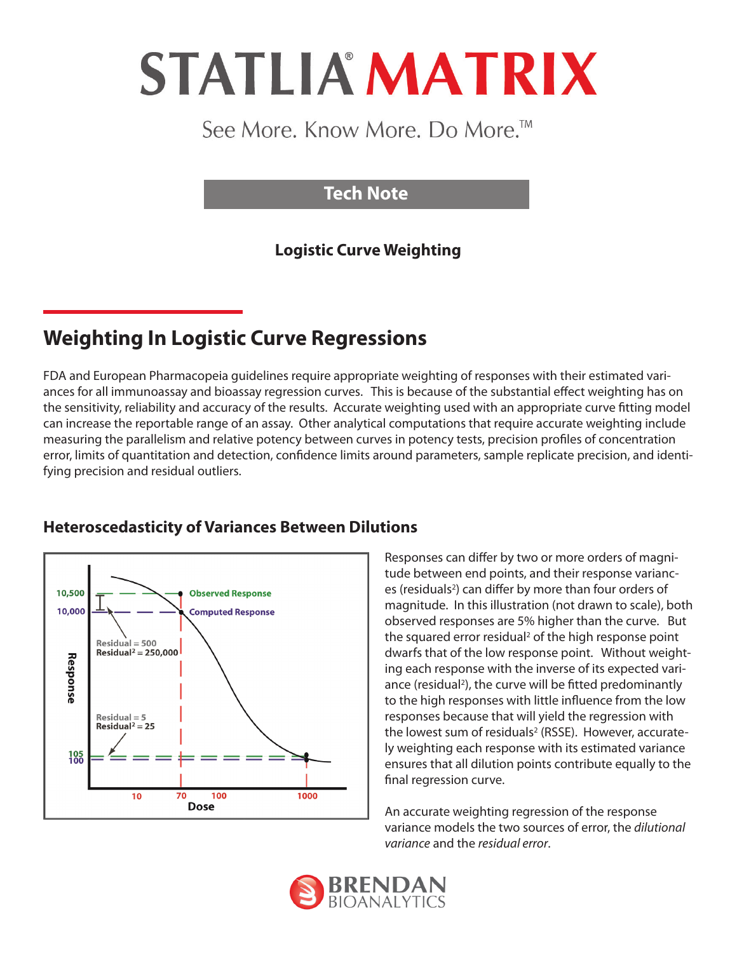# **STATLIA MATRIX**

# See More. Know More. Do More.<sup>™</sup>

## **Tech Note**

## **Logistic Curve Weighting**

# **Weighting In Logistic Curve Regressions**

FDA and European Pharmacopeia guidelines require appropriate weighting of responses with their estimated variances for all immunoassay and bioassay regression curves. This is because of the substantial effect weighting has on the sensitivity, reliability and accuracy of the results. Accurate weighting used with an appropriate curve fitting model can increase the reportable range of an assay. Other analytical computations that require accurate weighting include measuring the parallelism and relative potency between curves in potency tests, precision profiles of concentration error, limits of quantitation and detection, confidence limits around parameters, sample replicate precision, and identifying precision and residual outliers.



#### **Heteroscedasticity of Variances Between Dilutions**

Responses can differ by two or more orders of magnitude between end points, and their response variances (residuals<sup>2</sup>) can differ by more than four orders of magnitude. In this illustration (not drawn to scale), both observed responses are 5% higher than the curve. But the squared error residual<sup>2</sup> of the high response point dwarfs that of the low response point. Without weighting each response with the inverse of its expected variance (residual<sup>2</sup>), the curve will be fitted predominantly to the high responses with little influence from the low responses because that will yield the regression with the lowest sum of residuals<sup>2</sup> (RSSE). However, accurately weighting each response with its estimated variance ensures that all dilution points contribute equally to the final regression curve.

An accurate weighting regression of the response variance models the two sources of error, the *dilutional variance* and the *residual error*.

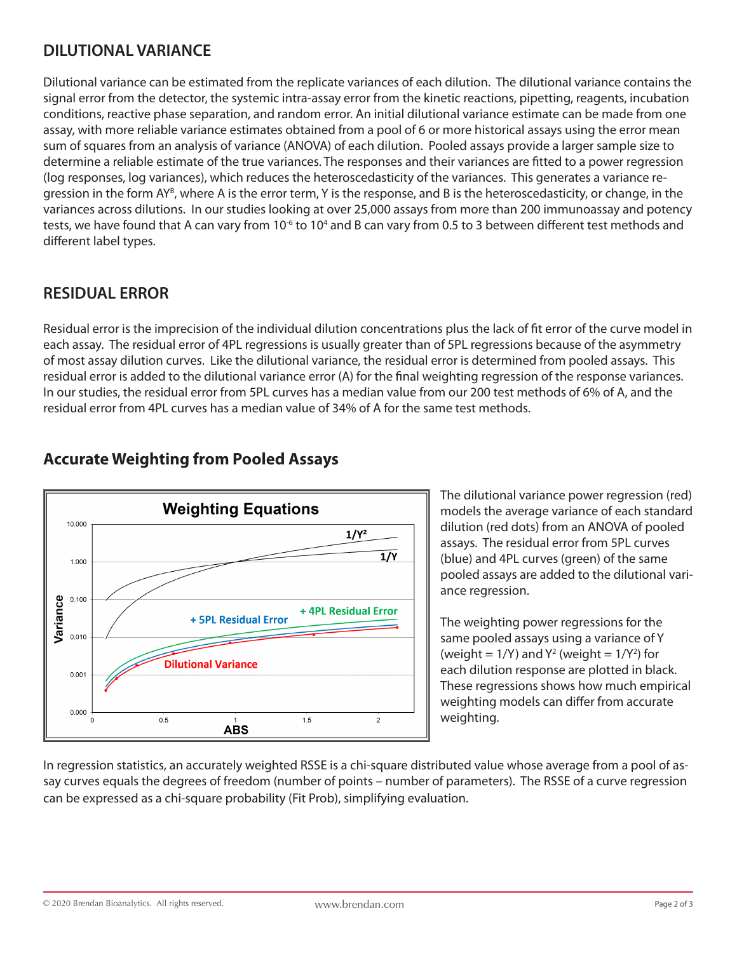#### **DILUTIONAL VARIANCE**

Dilutional variance can be estimated from the replicate variances of each dilution. The dilutional variance contains the signal error from the detector, the systemic intra-assay error from the kinetic reactions, pipetting, reagents, incubation conditions, reactive phase separation, and random error. An initial dilutional variance estimate can be made from one assay, with more reliable variance estimates obtained from a pool of 6 or more historical assays using the error mean sum of squares from an analysis of variance (ANOVA) of each dilution. Pooled assays provide a larger sample size to determine a reliable estimate of the true variances. The responses and their variances are fitted to a power regression (log responses, log variances), which reduces the heteroscedasticity of the variances. This generates a variance regression in the form AY<sup>B</sup>, where A is the error term, Y is the response, and B is the heteroscedasticity, or change, in the variances across dilutions. In our studies looking at over 25,000 assays from more than 200 immunoassay and potency tests, we have found that A can vary from 10<sup>-6</sup> to 10<sup>4</sup> and B can vary from 0.5 to 3 between different test methods and different label types.

#### **RESIDUAL ERROR**

Residual error is the imprecision of the individual dilution concentrations plus the lack of fit error of the curve model in each assay. The residual error of 4PL regressions is usually greater than of 5PL regressions because of the asymmetry of most assay dilution curves. Like the dilutional variance, the residual error is determined from pooled assays. This residual error is added to the dilutional variance error (A) for the final weighting regression of the response variances. In our studies, the residual error from 5PL curves has a median value from our 200 test methods of 6% of A, and the residual error from 4PL curves has a median value of 34% of A for the same test methods.



## **Accurate Weighting from Pooled Assays**

The dilutional variance power regression (red) models the average variance of each standard dilution (red dots) from an ANOVA of pooled assays. The residual error from 5PL curves (blue) and 4PL curves (green) of the same pooled assays are added to the dilutional variance regression.

The weighting power regressions for the same pooled assays using a variance of Y (weight =  $1/Y$ ) and  $Y^2$  (weight =  $1/Y^2$ ) for each dilution response are plotted in black. These regressions shows how much empirical weighting models can differ from accurate weighting.

In regression statistics, an accurately weighted RSSE is a chi-square distributed value whose average from a pool of assay curves equals the degrees of freedom (number of points – number of parameters). The RSSE of a curve regression can be expressed as a chi-square probability (Fit Prob), simplifying evaluation.